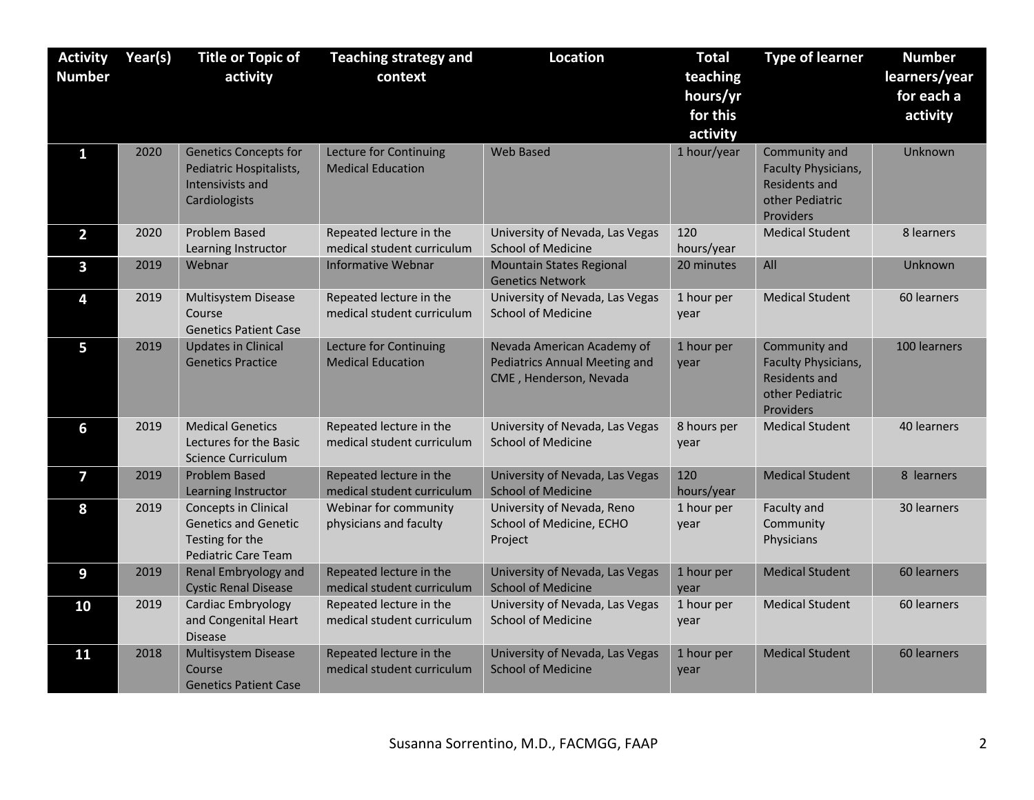| <b>Activity</b> | Year(s) | <b>Title or Topic of</b>                                                                                    | <b>Teaching strategy and</b>                          | <b>Location</b>                                                                              | <b>Total</b>        | <b>Type of learner</b>                                                                       | <b>Number</b> |
|-----------------|---------|-------------------------------------------------------------------------------------------------------------|-------------------------------------------------------|----------------------------------------------------------------------------------------------|---------------------|----------------------------------------------------------------------------------------------|---------------|
| <b>Number</b>   |         | activity                                                                                                    | context                                               |                                                                                              | teaching            |                                                                                              | learners/year |
|                 |         |                                                                                                             |                                                       |                                                                                              | hours/yr            |                                                                                              | for each a    |
|                 |         |                                                                                                             |                                                       |                                                                                              | for this            |                                                                                              | activity      |
|                 |         |                                                                                                             |                                                       |                                                                                              | activity            |                                                                                              |               |
| 1               | 2020    | <b>Genetics Concepts for</b><br>Pediatric Hospitalists,<br>Intensivists and<br>Cardiologists                | Lecture for Continuing<br><b>Medical Education</b>    | <b>Web Based</b>                                                                             | 1 hour/year         | Community and<br>Faculty Physicians,<br><b>Residents and</b><br>other Pediatric<br>Providers | Unknown       |
| $\overline{2}$  | 2020    | Problem Based<br>Learning Instructor                                                                        | Repeated lecture in the<br>medical student curriculum | University of Nevada, Las Vegas<br><b>School of Medicine</b>                                 | 120<br>hours/year   | <b>Medical Student</b>                                                                       | 8 learners    |
| 3               | 2019    | Webnar                                                                                                      | <b>Informative Webnar</b>                             | <b>Mountain States Regional</b><br><b>Genetics Network</b>                                   | 20 minutes          | All                                                                                          | Unknown       |
| 4               | 2019    | Multisystem Disease<br>Course<br><b>Genetics Patient Case</b>                                               | Repeated lecture in the<br>medical student curriculum | University of Nevada, Las Vegas<br><b>School of Medicine</b>                                 | 1 hour per<br>year  | <b>Medical Student</b>                                                                       | 60 learners   |
| 5               | 2019    | <b>Updates in Clinical</b><br><b>Genetics Practice</b>                                                      | Lecture for Continuing<br><b>Medical Education</b>    | Nevada American Academy of<br><b>Pediatrics Annual Meeting and</b><br>CME, Henderson, Nevada | 1 hour per<br>vear  | Community and<br>Faculty Physicians,<br><b>Residents and</b><br>other Pediatric<br>Providers | 100 learners  |
| 6               | 2019    | <b>Medical Genetics</b><br>Lectures for the Basic<br><b>Science Curriculum</b>                              | Repeated lecture in the<br>medical student curriculum | University of Nevada, Las Vegas<br><b>School of Medicine</b>                                 | 8 hours per<br>year | <b>Medical Student</b>                                                                       | 40 learners   |
| 7               | 2019    | <b>Problem Based</b><br>Learning Instructor                                                                 | Repeated lecture in the<br>medical student curriculum | University of Nevada, Las Vegas<br><b>School of Medicine</b>                                 | 120<br>hours/year   | <b>Medical Student</b>                                                                       | 8 learners    |
| 8               | 2019    | <b>Concepts in Clinical</b><br><b>Genetics and Genetic</b><br>Testing for the<br><b>Pediatric Care Team</b> | Webinar for community<br>physicians and faculty       | University of Nevada, Reno<br>School of Medicine, ECHO<br>Project                            | 1 hour per<br>year  | Faculty and<br>Community<br>Physicians                                                       | 30 learners   |
| 9               | 2019    | Renal Embryology and<br><b>Cystic Renal Disease</b>                                                         | Repeated lecture in the<br>medical student curriculum | University of Nevada, Las Vegas<br><b>School of Medicine</b>                                 | 1 hour per<br>vear  | <b>Medical Student</b>                                                                       | 60 learners   |
| 10              | 2019    | Cardiac Embryology<br>and Congenital Heart<br><b>Disease</b>                                                | Repeated lecture in the<br>medical student curriculum | University of Nevada, Las Vegas<br><b>School of Medicine</b>                                 | 1 hour per<br>year  | <b>Medical Student</b>                                                                       | 60 learners   |
| 11              | 2018    | <b>Multisystem Disease</b><br>Course<br><b>Genetics Patient Case</b>                                        | Repeated lecture in the<br>medical student curriculum | University of Nevada, Las Vegas<br><b>School of Medicine</b>                                 | 1 hour per<br>year  | <b>Medical Student</b>                                                                       | 60 learners   |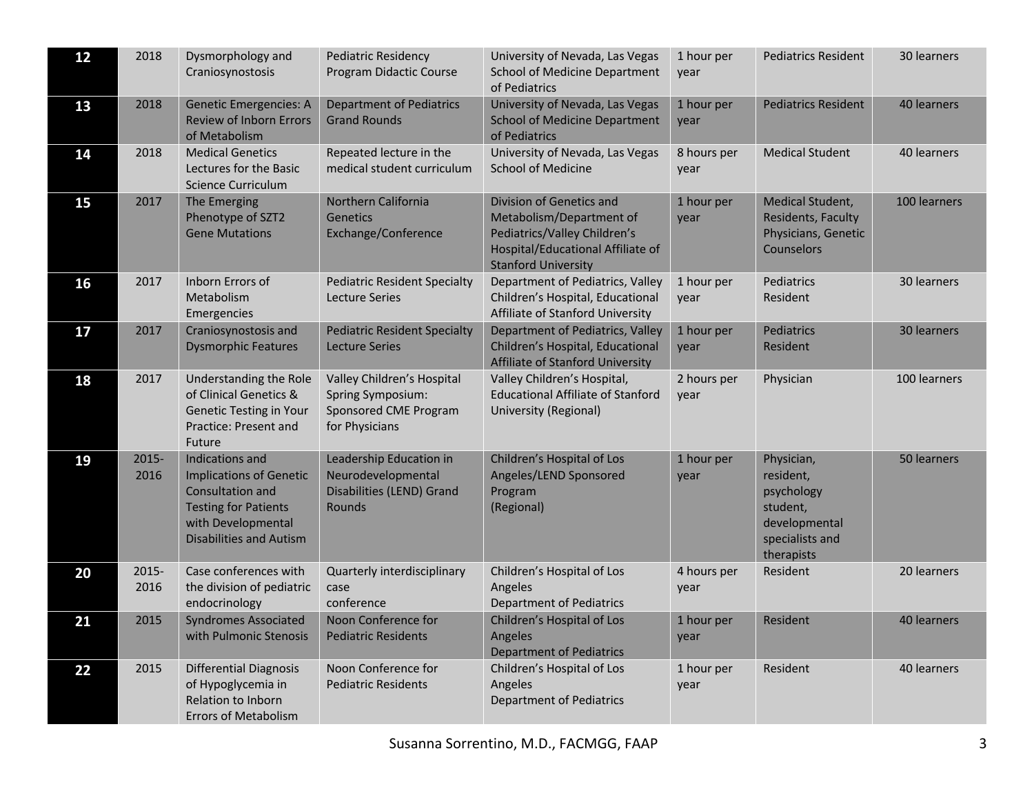| 12 | 2018          | Dysmorphology and<br>Craniosynostosis                                                                                                                        | <b>Pediatric Residency</b><br>Program Didactic Course                                       | University of Nevada, Las Vegas<br><b>School of Medicine Department</b><br>of Pediatrics                                                                | 1 hour per<br>vear  | <b>Pediatrics Resident</b>                                                                          | 30 learners  |
|----|---------------|--------------------------------------------------------------------------------------------------------------------------------------------------------------|---------------------------------------------------------------------------------------------|---------------------------------------------------------------------------------------------------------------------------------------------------------|---------------------|-----------------------------------------------------------------------------------------------------|--------------|
| 13 | 2018          | <b>Genetic Emergencies: A</b><br>Review of Inborn Errors<br>of Metabolism                                                                                    | <b>Department of Pediatrics</b><br><b>Grand Rounds</b>                                      | University of Nevada, Las Vegas<br><b>School of Medicine Department</b><br>of Pediatrics                                                                | 1 hour per<br>year  | <b>Pediatrics Resident</b>                                                                          | 40 learners  |
| 14 | 2018          | <b>Medical Genetics</b><br>Lectures for the Basic<br><b>Science Curriculum</b>                                                                               | Repeated lecture in the<br>medical student curriculum                                       | University of Nevada, Las Vegas<br><b>School of Medicine</b>                                                                                            | 8 hours per<br>vear | <b>Medical Student</b>                                                                              | 40 learners  |
| 15 | 2017          | The Emerging<br>Phenotype of SZT2<br><b>Gene Mutations</b>                                                                                                   | Northern California<br><b>Genetics</b><br>Exchange/Conference                               | Division of Genetics and<br>Metabolism/Department of<br>Pediatrics/Valley Children's<br>Hospital/Educational Affiliate of<br><b>Stanford University</b> | 1 hour per<br>year  | Medical Student,<br>Residents, Faculty<br>Physicians, Genetic<br>Counselors                         | 100 learners |
| 16 | 2017          | Inborn Errors of<br>Metabolism<br>Emergencies                                                                                                                | <b>Pediatric Resident Specialty</b><br><b>Lecture Series</b>                                | Department of Pediatrics, Valley<br>Children's Hospital, Educational<br>Affiliate of Stanford University                                                | 1 hour per<br>year  | Pediatrics<br>Resident                                                                              | 30 learners  |
| 17 | 2017          | Craniosynostosis and<br><b>Dysmorphic Features</b>                                                                                                           | <b>Pediatric Resident Specialty</b><br><b>Lecture Series</b>                                | Department of Pediatrics, Valley<br>Children's Hospital, Educational<br>Affiliate of Stanford University                                                | 1 hour per<br>year  | Pediatrics<br>Resident                                                                              | 30 learners  |
| 18 | 2017          | Understanding the Role<br>of Clinical Genetics &<br><b>Genetic Testing in Your</b><br>Practice: Present and<br>Future                                        | Valley Children's Hospital<br>Spring Symposium:<br>Sponsored CME Program<br>for Physicians  | Valley Children's Hospital,<br><b>Educational Affiliate of Stanford</b><br>University (Regional)                                                        | 2 hours per<br>year | Physician                                                                                           | 100 learners |
| 19 | 2015-<br>2016 | Indications and<br><b>Implications of Genetic</b><br>Consultation and<br><b>Testing for Patients</b><br>with Developmental<br><b>Disabilities and Autism</b> | Leadership Education in<br>Neurodevelopmental<br>Disabilities (LEND) Grand<br><b>Rounds</b> | Children's Hospital of Los<br>Angeles/LEND Sponsored<br>Program<br>(Regional)                                                                           | 1 hour per<br>year  | Physician,<br>resident,<br>psychology<br>student,<br>developmental<br>specialists and<br>therapists | 50 learners  |
| 20 | 2015-<br>2016 | Case conferences with<br>the division of pediatric<br>endocrinology                                                                                          | Quarterly interdisciplinary<br>case<br>conference                                           | Children's Hospital of Los<br>Angeles<br><b>Department of Pediatrics</b>                                                                                | 4 hours per<br>year | Resident                                                                                            | 20 learners  |
| 21 | 2015          | <b>Syndromes Associated</b><br>with Pulmonic Stenosis                                                                                                        | Noon Conference for<br><b>Pediatric Residents</b>                                           | Children's Hospital of Los<br>Angeles<br><b>Department of Pediatrics</b>                                                                                | 1 hour per<br>year  | Resident                                                                                            | 40 learners  |
| 22 | 2015          | <b>Differential Diagnosis</b><br>of Hypoglycemia in<br>Relation to Inborn<br><b>Errors of Metabolism</b>                                                     | Noon Conference for<br><b>Pediatric Residents</b>                                           | Children's Hospital of Los<br>Angeles<br><b>Department of Pediatrics</b>                                                                                | 1 hour per<br>year  | Resident                                                                                            | 40 learners  |